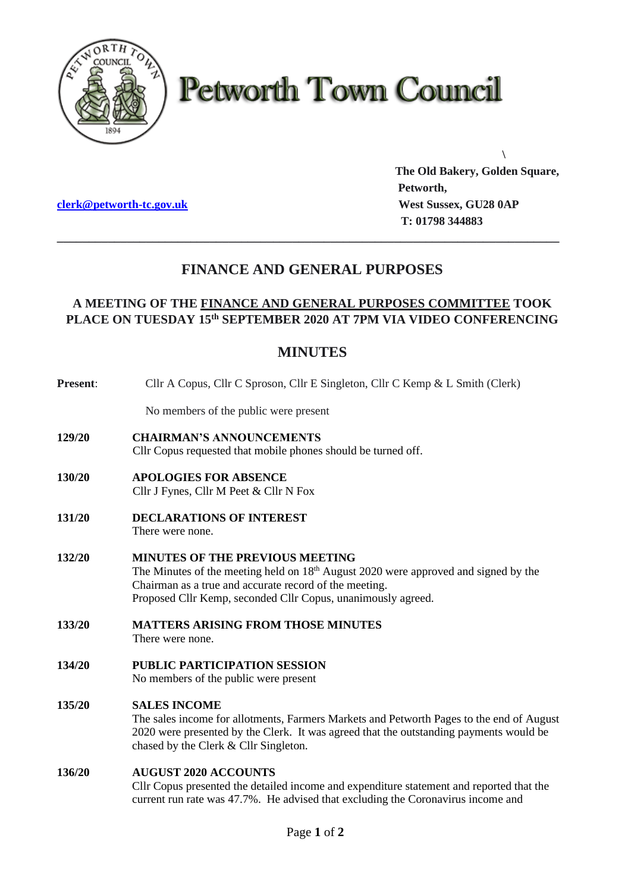

# **Petworth Town Council**

**[clerk@petworth-tc.gov.uk](mailto:clerk@petworth-tc.gov.uk) West Sussex, GU28 0AP**

**The Old Bakery, Golden Square, Petworth, T: 01798 344883**

**\**

## **FINANCE AND GENERAL PURPOSES**

**\_\_\_\_\_\_\_\_\_\_\_\_\_\_\_\_\_\_\_\_\_\_\_\_\_\_\_\_\_\_\_\_\_\_\_\_\_\_\_\_\_\_\_\_\_\_\_\_\_\_\_\_\_\_\_\_\_\_\_\_\_\_\_\_\_\_\_\_\_\_\_\_\_\_\_\_\_\_\_**

### **A MEETING OF THE FINANCE AND GENERAL PURPOSES COMMITTEE TOOK PLACE ON TUESDAY 15 th SEPTEMBER 2020 AT 7PM VIA VIDEO CONFERENCING**

## **MINUTES**

| Present: | Cllr A Copus, Cllr C Sproson, Cllr E Singleton, Cllr C Kemp & L Smith (Clerk)                                                                                                                                                                             |
|----------|-----------------------------------------------------------------------------------------------------------------------------------------------------------------------------------------------------------------------------------------------------------|
|          | No members of the public were present                                                                                                                                                                                                                     |
| 129/20   | <b>CHAIRMAN'S ANNOUNCEMENTS</b><br>Cllr Copus requested that mobile phones should be turned off.                                                                                                                                                          |
| 130/20   | <b>APOLOGIES FOR ABSENCE</b><br>Cllr J Fynes, Cllr M Peet & Cllr N Fox                                                                                                                                                                                    |
| 131/20   | <b>DECLARATIONS OF INTEREST</b><br>There were none.                                                                                                                                                                                                       |
| 132/20   | <b>MINUTES OF THE PREVIOUS MEETING</b><br>The Minutes of the meeting held on $18th$ August 2020 were approved and signed by the<br>Chairman as a true and accurate record of the meeting.<br>Proposed Cllr Kemp, seconded Cllr Copus, unanimously agreed. |
| 133/20   | <b>MATTERS ARISING FROM THOSE MINUTES</b><br>There were none.                                                                                                                                                                                             |
| 134/20   | <b>PUBLIC PARTICIPATION SESSION</b><br>No members of the public were present                                                                                                                                                                              |
| 135/20   | <b>SALES INCOME</b><br>The sales income for allotments, Farmers Markets and Petworth Pages to the end of August<br>2020 were presented by the Clerk. It was agreed that the outstanding payments would be<br>chased by the Clerk & Cllr Singleton.        |
| 136/20   | <b>AUGUST 2020 ACCOUNTS</b><br>Cllr Copus presented the detailed income and expenditure statement and reported that the<br>current run rate was 47.7%. He advised that excluding the Coronavirus income and                                               |
|          |                                                                                                                                                                                                                                                           |